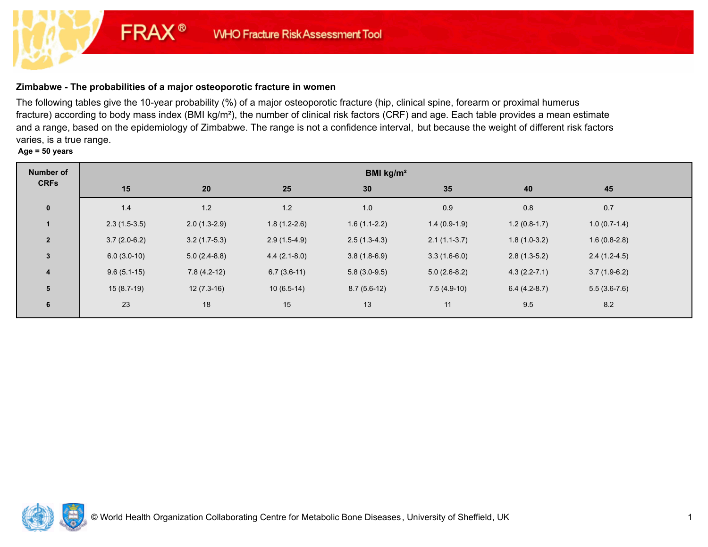# **Zimbabwe - The probabilities of a major osteoporotic fracture in women**

**FRAX®** 

The following tables give the 10-year probability (%) of a major osteoporotic fracture (hip, clinical spine, forearm or proximal humerus fracture) according to body mass index (BMI kg/m²), the number of clinical risk factors (CRF) and age. Each table provides a mean estimate and a range, based on the epidemiology of Zimbabwe. The range is not a confidence interval, but because the weight of different risk factors varies, is a true range.

**Age = 50 years**

| <b>Number of</b>        | BMI kg/m <sup>2</sup> |                |                |                |                |                  |                |  |  |
|-------------------------|-----------------------|----------------|----------------|----------------|----------------|------------------|----------------|--|--|
| <b>CRFs</b>             | 15                    | 20             | 25             | 30             | 35             | 40               | 45             |  |  |
| $\overline{\mathbf{0}}$ | 1.4                   | 1.2            | $1.2$          | 1.0            | 0.9            | 0.8              | 0.7            |  |  |
| $\mathbf{1}$            | $2.3(1.5-3.5)$        | $2.0(1.3-2.9)$ | $1.8(1.2-2.6)$ | $1.6(1.1-2.2)$ | $1.4(0.9-1.9)$ | $1.2(0.8-1.7)$   | $1.0(0.7-1.4)$ |  |  |
| $\overline{2}$          | $3.7(2.0-6.2)$        | $3.2(1.7-5.3)$ | $2.9(1.5-4.9)$ | $2.5(1.3-4.3)$ | $2.1(1.1-3.7)$ | $1.8(1.0-3.2)$   | $1.6(0.8-2.8)$ |  |  |
| $\mathbf{3}$            | $6.0(3.0-10)$         | $5.0(2.4-8.8)$ | $4.4(2.1-8.0)$ | $3.8(1.8-6.9)$ | $3.3(1.6-6.0)$ | $2.8(1.3-5.2)$   | $2.4(1.2-4.5)$ |  |  |
| $\overline{\mathbf{4}}$ | $9.6(5.1-15)$         | $7.8(4.2-12)$  | $6.7(3.6-11)$  | $5.8(3.0-9.5)$ | $5.0(2.6-8.2)$ | $4.3(2.2 - 7.1)$ | $3.7(1.9-6.2)$ |  |  |
| 5                       | $15(8.7-19)$          | $12(7.3-16)$   | $10(6.5-14)$   | $8.7(5.6-12)$  | $7.5(4.9-10)$  | $6.4(4.2-8.7)$   | $5.5(3.6-7.6)$ |  |  |
| 6                       | 23                    | 18             | 15             | 13             | 11             | 9.5              | 8.2            |  |  |

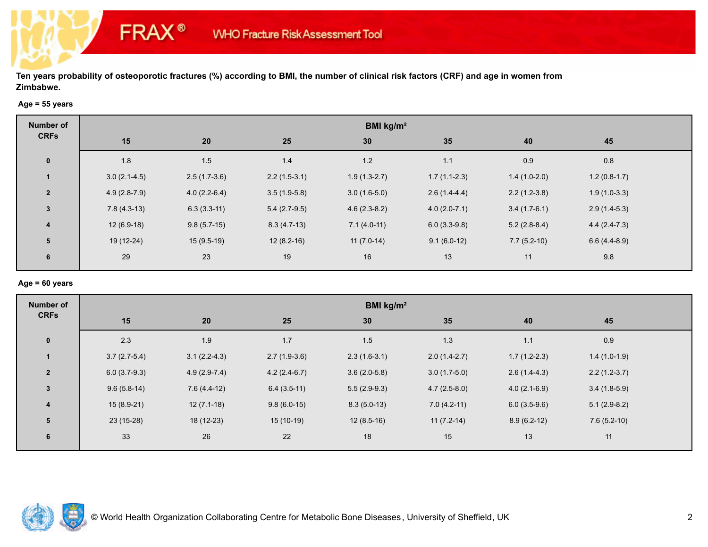## **Age = 55 years**

**FRAX®** 

| Number of               | BMI kg/m <sup>2</sup> |                |                |                |                |                |                |  |  |
|-------------------------|-----------------------|----------------|----------------|----------------|----------------|----------------|----------------|--|--|
| <b>CRFs</b>             | 15                    | 20             | 25             | 30             | 35             | 40             | 45             |  |  |
| $\mathbf 0$             | 1.8                   | 1.5            | 1.4            | 1.2            | 1.1            | 0.9            | 0.8            |  |  |
| $\mathbf{1}$            | $3.0(2.1-4.5)$        | $2.5(1.7-3.6)$ | $2.2(1.5-3.1)$ | $1.9(1.3-2.7)$ | $1.7(1.1-2.3)$ | $1.4(1.0-2.0)$ | $1.2(0.8-1.7)$ |  |  |
| $\overline{2}$          | $4.9(2.8-7.9)$        | $4.0(2.2-6.4)$ | $3.5(1.9-5.8)$ | $3.0(1.6-5.0)$ | $2.6(1.4-4.4)$ | $2.2(1.2-3.8)$ | $1.9(1.0-3.3)$ |  |  |
| $\mathbf{3}$            | $7.8(4.3-13)$         | $6.3(3.3-11)$  | $5.4(2.7-9.5)$ | $4.6(2.3-8.2)$ | $4.0(2.0-7.1)$ | $3.4(1.7-6.1)$ | $2.9(1.4-5.3)$ |  |  |
| $\overline{\mathbf{4}}$ | $12(6.9-18)$          | $9.8(5.7-15)$  | $8.3(4.7-13)$  | $7.1(4.0-11)$  | $6.0(3.3-9.8)$ | $5.2(2.8-8.4)$ | $4.4(2.4-7.3)$ |  |  |
| 5                       | 19 (12-24)            | $15(9.5-19)$   | $12(8.2-16)$   | $11(7.0-14)$   | $9.1(6.0-12)$  | $7.7(5.2-10)$  | $6.6(4.4-8.9)$ |  |  |
| 6                       | 29                    | 23             | 19             | 16             | 13             | 11             | 9.8            |  |  |

## **Age = 60 years**

| <b>Number of</b> | BMI kg/m <sup>2</sup> |                |                |                |                |                |                |  |  |
|------------------|-----------------------|----------------|----------------|----------------|----------------|----------------|----------------|--|--|
| <b>CRFs</b>      | 15                    | 20             | 25             | 30             | 35             | 40             | 45             |  |  |
| $\mathbf 0$      | 2.3                   | 1.9            | 1.7            | 1.5            | 1.3            | 1.1            | 0.9            |  |  |
| $\mathbf{1}$     | $3.7(2.7-5.4)$        | $3.1(2.2-4.3)$ | $2.7(1.9-3.6)$ | $2.3(1.6-3.1)$ | $2.0(1.4-2.7)$ | $1.7(1.2-2.3)$ | $1.4(1.0-1.9)$ |  |  |
| $\overline{2}$   | $6.0(3.7-9.3)$        | $4.9(2.9-7.4)$ | $4.2(2.4-6.7)$ | $3.6(2.0-5.8)$ | $3.0(1.7-5.0)$ | $2.6(1.4-4.3)$ | $2.2(1.2-3.7)$ |  |  |
| $\mathbf{3}$     | $9.6(5.8-14)$         | $7.6(4.4-12)$  | $6.4(3.5-11)$  | $5.5(2.9-9.3)$ | $4.7(2.5-8.0)$ | $4.0(2.1-6.9)$ | $3.4(1.8-5.9)$ |  |  |
| $\boldsymbol{4}$ | $15(8.9-21)$          | $12(7.1-18)$   | $9.8(6.0-15)$  | $8.3(5.0-13)$  | $7.0(4.2-11)$  | $6.0(3.5-9.6)$ | $5.1(2.9-8.2)$ |  |  |
| 5                | 23 (15-28)            | 18 (12-23)     | $15(10-19)$    | $12(8.5-16)$   | $11(7.2-14)$   | $8.9(6.2-12)$  | $7.6(5.2-10)$  |  |  |
| 6                | 33                    | 26             | 22             | 18             | 15             | 13             | 11             |  |  |

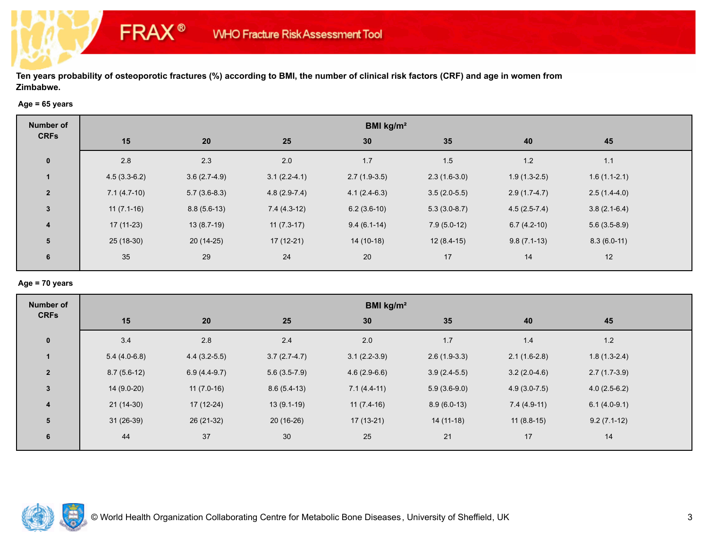### **Age = 65 years**

**FRAX®** 

| Number of               | BMI kg/m <sup>2</sup> |                |                |                |                |                |                |  |  |
|-------------------------|-----------------------|----------------|----------------|----------------|----------------|----------------|----------------|--|--|
| <b>CRFs</b>             | 15                    | 20             | 25             | 30             | 35             | 40             | 45             |  |  |
| $\mathbf 0$             | 2.8                   | 2.3            | 2.0            | 1.7            | 1.5            | 1.2            | 1.1            |  |  |
| $\mathbf{1}$            | $4.5(3.3-6.2)$        | $3.6(2.7-4.9)$ | $3.1(2.2-4.1)$ | $2.7(1.9-3.5)$ | $2.3(1.6-3.0)$ | $1.9(1.3-2.5)$ | $1.6(1.1-2.1)$ |  |  |
| $\overline{2}$          | $7.1(4.7-10)$         | $5.7(3.6-8.3)$ | $4.8(2.9-7.4)$ | $4.1(2.4-6.3)$ | $3.5(2.0-5.5)$ | $2.9(1.7-4.7)$ | $2.5(1.4-4.0)$ |  |  |
| $\mathbf{3}$            | $11(7.1-16)$          | $8.8(5.6-13)$  | $7.4(4.3-12)$  | $6.2(3.6-10)$  | $5.3(3.0-8.7)$ | $4.5(2.5-7.4)$ | $3.8(2.1-6.4)$ |  |  |
| $\overline{\mathbf{4}}$ | $17(11-23)$           | $13(8.7-19)$   | $11(7.3-17)$   | $9.4(6.1-14)$  | $7.9(5.0-12)$  | $6.7(4.2-10)$  | $5.6(3.5-8.9)$ |  |  |
| 5                       | 25 (18-30)            | $20(14-25)$    | $17(12-21)$    | $14(10-18)$    | $12(8.4-15)$   | $9.8(7.1-13)$  | $8.3(6.0-11)$  |  |  |
| 6                       | 35                    | 29             | 24             | 20             | 17             | 14             | 12             |  |  |

## **Age = 70 years**

| <b>Number of</b> | BMI kg/m <sup>2</sup> |                |                |                |                |                  |                |  |  |
|------------------|-----------------------|----------------|----------------|----------------|----------------|------------------|----------------|--|--|
| <b>CRFs</b>      | 15                    | 20             | 25             | 30             | 35             | 40               | 45             |  |  |
| $\mathbf 0$      | 3.4                   | 2.8            | 2.4            | 2.0            | $1.7$          | 1.4              | $1.2$          |  |  |
| $\mathbf{1}$     | $5.4(4.0-6.8)$        | $4.4(3.2-5.5)$ | $3.7(2.7-4.7)$ | $3.1(2.2-3.9)$ | $2.6(1.9-3.3)$ | $2.1(1.6-2.8)$   | $1.8(1.3-2.4)$ |  |  |
| $\overline{2}$   | $8.7(5.6-12)$         | $6.9(4.4-9.7)$ | $5.6(3.5-7.9)$ | $4.6(2.9-6.6)$ | $3.9(2.4-5.5)$ | $3.2(2.0-4.6)$   | $2.7(1.7-3.9)$ |  |  |
| $\mathbf{3}$     | $14(9.0-20)$          | $11(7.0-16)$   | $8.6(5.4-13)$  | $7.1(4.4-11)$  | $5.9(3.6-9.0)$ | $4.9(3.0 - 7.5)$ | $4.0(2.5-6.2)$ |  |  |
| $\boldsymbol{4}$ | $21(14-30)$           | $17(12-24)$    | $13(9.1-19)$   | $11(7.4-16)$   | $8.9(6.0-13)$  | $7.4(4.9-11)$    | $6.1(4.0-9.1)$ |  |  |
| 5                | $31(26-39)$           | 26 (21-32)     | $20(16-26)$    | $17(13-21)$    | $14(11-18)$    | $11(8.8-15)$     | $9.2(7.1-12)$  |  |  |
| 6                | 44                    | 37             | 30             | 25             | 21             | 17               | 14             |  |  |

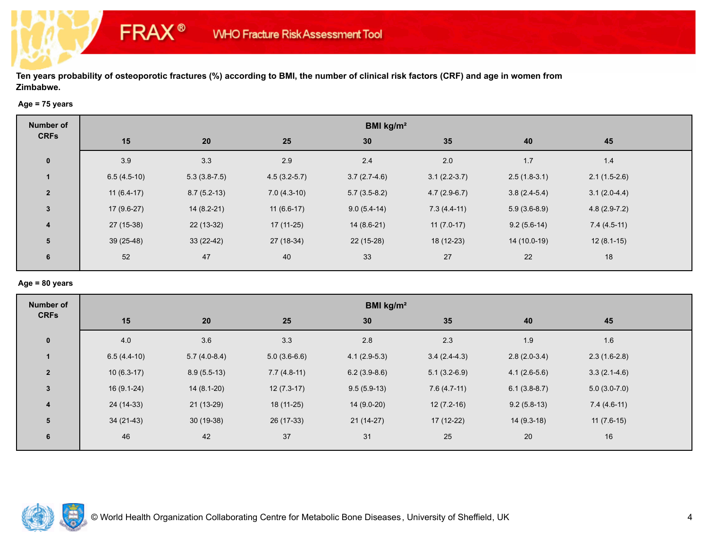## **Age = 75 years**

**FRAX®** 

| <b>Number of</b>        | BMI kg/m <sup>2</sup> |                |                |                |                |                |                |  |  |
|-------------------------|-----------------------|----------------|----------------|----------------|----------------|----------------|----------------|--|--|
| <b>CRFs</b>             | 15                    | 20             | 25             | 30             | 35             | 40             | 45             |  |  |
| $\mathbf 0$             | 3.9                   | 3.3            | 2.9            | 2.4            | 2.0            | 1.7            | $1.4$          |  |  |
| $\mathbf{1}$            | $6.5(4.5-10)$         | $5.3(3.8-7.5)$ | $4.5(3.2-5.7)$ | $3.7(2.7-4.6)$ | $3.1(2.2-3.7)$ | $2.5(1.8-3.1)$ | $2.1(1.5-2.6)$ |  |  |
| $\overline{2}$          | $11(6.4-17)$          | $8.7(5.2-13)$  | $7.0(4.3-10)$  | $5.7(3.5-8.2)$ | $4.7(2.9-6.7)$ | $3.8(2.4-5.4)$ | $3.1(2.0-4.4)$ |  |  |
| $\mathbf{3}$            | $17(9.6-27)$          | $14(8.2-21)$   | $11(6.6-17)$   | $9.0(5.4-14)$  | $7.3(4.4-11)$  | $5.9(3.6-8.9)$ | $4.8(2.9-7.2)$ |  |  |
| $\overline{\mathbf{4}}$ | $27(15-38)$           | $22(13-32)$    | $17(11-25)$    | $14(8.6-21)$   | $11(7.0-17)$   | $9.2(5.6-14)$  | $7.4(4.5-11)$  |  |  |
| 5                       | $39(25-48)$           | $33(22-42)$    | $27(18-34)$    | 22 (15-28)     | 18 (12-23)     | 14 (10.0-19)   | $12(8.1-15)$   |  |  |
| 6                       | 52                    | 47             | 40             | 33             | 27             | 22             | 18             |  |  |

#### **Age = 80 years**

| <b>Number of</b> | BMI kg/m <sup>2</sup> |                |                |                |                |                |                |  |  |
|------------------|-----------------------|----------------|----------------|----------------|----------------|----------------|----------------|--|--|
| <b>CRFs</b>      | 15                    | 20             | 25             | 30             | 35             | 40             | 45             |  |  |
| $\mathbf 0$      | 4.0                   | 3.6            | 3.3            | 2.8            | 2.3            | 1.9            | 1.6            |  |  |
| $\mathbf{1}$     | $6.5(4.4-10)$         | $5.7(4.0-8.4)$ | $5.0(3.6-6.6)$ | $4.1(2.9-5.3)$ | $3.4(2.4-4.3)$ | $2.8(2.0-3.4)$ | $2.3(1.6-2.8)$ |  |  |
| $\overline{2}$   | $10(6.3-17)$          | $8.9(5.5-13)$  | $7.7(4.8-11)$  | $6.2(3.9-8.6)$ | $5.1(3.2-6.9)$ | $4.1(2.6-5.6)$ | $3.3(2.1-4.6)$ |  |  |
| $\mathbf{3}$     | $16(9.1-24)$          | $14(8.1-20)$   | $12(7.3-17)$   | $9.5(5.9-13)$  | $7.6(4.7-11)$  | $6.1(3.8-8.7)$ | $5.0(3.0-7.0)$ |  |  |
| $\boldsymbol{4}$ | 24 (14-33)            | $21(13-29)$    | $18(11-25)$    | $14(9.0-20)$   | $12(7.2-16)$   | $9.2(5.8-13)$  | $7.4(4.6-11)$  |  |  |
| 5                | $34(21-43)$           | $30(19-38)$    | 26 (17-33)     | $21(14-27)$    | 17 (12-22)     | $14(9.3-18)$   | $11(7.6-15)$   |  |  |
| 6                | 46                    | 42             | 37             | 31             | 25             | 20             | 16             |  |  |